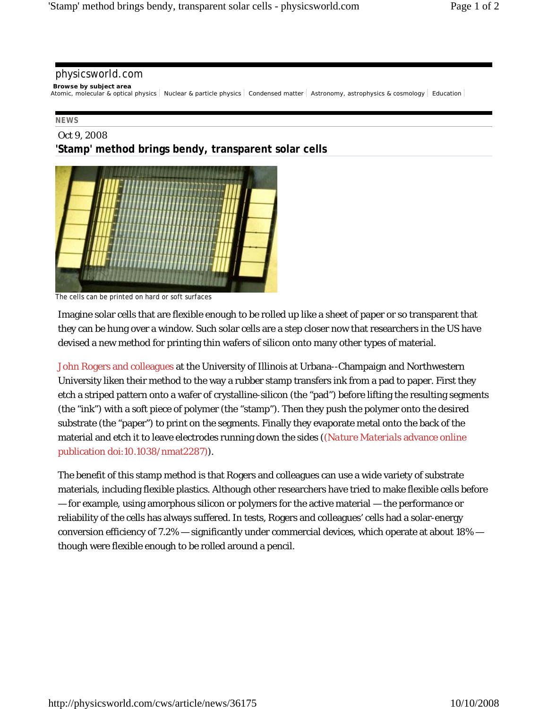## physicsworld.com

## **Browse by subject area**

Atomic, molecular & optical physics Nuclear & particle physics Condensed matter Astronomy, astrophysics & cosmology Education |

## **NEWS**

## Oct 9, 2008 **'Stamp' method brings bendy, transparent solar cells**



The cells can be printed on hard or soft surfaces

Imagine solar cells that are flexible enough to be rolled up like a sheet of paper or so transparent that they can be hung over a window. Such solar cells are a step closer now that researchers in the US have devised a new method for printing thin wafers of silicon onto many other types of material.

John Rogers and colleagues at the University of Illinois at Urbana--Champaign and Northwestern University liken their method to the way a rubber stamp transfers ink from a pad to paper. First they etch a striped pattern onto a wafer of crystalline-silicon (the "pad") before lifting the resulting segments (the "ink") with a soft piece of polymer (the "stamp"). Then they push the polymer onto the desired substrate (the "paper") to print on the segments. Finally they evaporate metal onto the back of the material and etch it to leave electrodes running down the sides ((*Nature Materials* advance online publication doi:10.1038/nmat2287)).

The benefit of this stamp method is that Rogers and colleagues can use a wide variety of substrate materials, including flexible plastics. Although other researchers have tried to make flexible cells before — for example, using amorphous silicon or polymers for the active material — the performance or reliability of the cells has always suffered. In tests, Rogers and colleagues' cells had a solar-energy conversion efficiency of 7.2% — significantly under commercial devices, which operate at about 18% though were flexible enough to be rolled around a pencil.